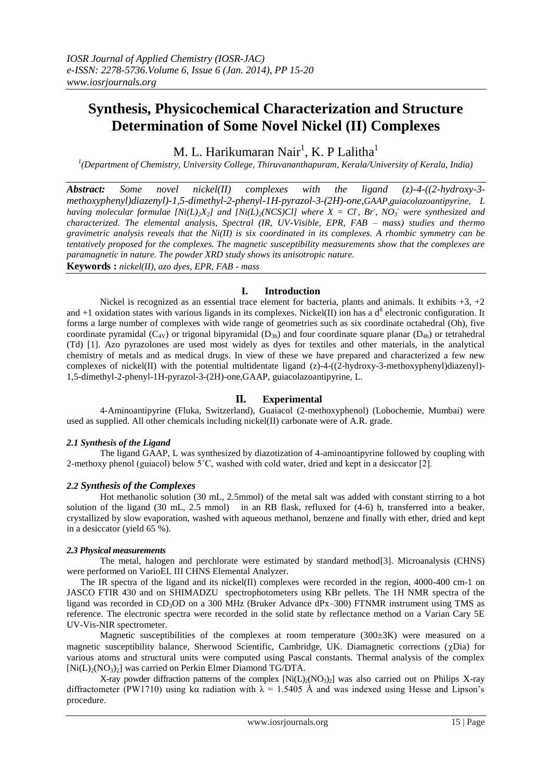# **Synthesis, Physicochemical Characterization and Structure Determination of Some Novel Nickel (II) Complexes**

M. L. Harikumaran Nair<sup>1</sup>, K. P Lalitha<sup>1</sup>

*1 (Department of Chemistry, University College, Thiruvananthapuram, Kerala/University of Kerala, India)*

*Abstract: Some novel nickel(II) complexes with the ligand (z)-4-((2-hydroxy-3 methoxyphenyl)diazenyl)-1,5-dimethyl-2-phenyl-1H-pyrazol-3-(2H)-one,GAAP,guiacolazoantipyrine, L having molecular formulae*  $[Ni(L)_{2}X_{2}]$  *and*  $[Ni(L)_{2}(NCS)Cl]$  where  $X = Cl$ , Br,  $NO_{3}$  were synthesized and *characterized. The elemental analysis, Spectral (IR, UV-Visible, EPR, FAB – mass) studies and thermo gravimetric analysis reveals that the Ni(II) is six coordinated in its complexes. A rhombic symmetry can be tentatively proposed for the complexes. The magnetic susceptibility measurements show that the complexes are paramagnetic in nature. The powder XRD study shows its anisotropic nature*.

**Keywords :** *nickel(II), azo dyes, EPR, FAB - mass*

## **I. Introduction**

Nickel is recognized as an essential trace element for bacteria, plants and animals. It exhibits  $+3$ ,  $+2$ and  $+1$  oxidation states with various ligands in its complexes. Nickel(II) ion has a  $d<sup>8</sup>$  electronic configuration. It forms a large number of complexes with wide range of geometries such as six coordinate octahedral (Oh), five coordinate pyramidal ( $C_{4V}$ ) or trigonal bipyramidal ( $D_{3h}$ ) and four coordinate square planar ( $D_{4h}$ ) or tetrahedral (Td) [1]. Azo pyrazolones are used most widely as dyes for textiles and other materials, in the analytical chemistry of metals and as medical drugs. In view of these we have prepared and characterized a few new complexes of nickel(II) with the potential multidentate ligand  $(z)$ -4- $((2-hydroxy-3-methoxyphenyl)diazenyl)$ -1,5-dimethyl-2-phenyl-1H-pyrazol-3-(2H)-one,GAAP, guiacolazoantipyrine, L.

## **II. Experimental**

4-Aminoantipyrine (Fluka, Switzerland), Guaiacol (2-methoxyphenol) (Lobochemie, Mumbai) were used as supplied. All other chemicals including nickel(II) carbonate were of A.R. grade.

#### *2.1 Synthesis of the Ligand*

The ligand GAAP, L was synthesized by diazotization of 4-aminoantipyrine followed by coupling with 2-methoxy phenol (guiacol) below 5˚C, washed with cold water, dried and kept in a desiccator [2].

## *2.2 Synthesis of the Complexes*

Hot methanolic solution (30 mL, 2.5mmol) of the metal salt was added with constant stirring to a hot solution of the ligand (30 mL, 2.5 mmol) in an RB flask, refluxed for (4-6) h, transferred into a beaker, crystallized by slow evaporation, washed with aqueous methanol, benzene and finally with ether, dried and kept in a desiccator (yield 65 %).

#### *2.3 Physical measurements*

The metal, halogen and perchlorate were estimated by standard method[3]. Microanalysis (CHNS) were performed on VarioEL III CHNS Elemental Analyzer.

The IR spectra of the ligand and its nickel(II) complexes were recorded in the region,  $4000-400$  cm-1 on JASCO FTIR 430 and on SHIMADZU spectrophotometers using KBr pellets. The 1H NMR spectra of the ligand was recorded in CD<sub>3</sub>OD on a 300 MHz (Bruker Advance dPx–300) FTNMR instrument using TMS as reference. The electronic spectra were recorded in the solid state by reflectance method on a Varian Cary 5E UV-Vis-NIR spectrometer.

Magnetic susceptibilities of the complexes at room temperature (300±3K) were measured on a magnetic susceptibility balance, Sherwood Scientific, Cambridge, UK. Diamagnetic corrections ( $\chi$ Dia) for various atoms and structural units were computed using Pascal constants. Thermal analysis of the complex  $[Ni(L)_{2}(NO_{3})_{2}]$  was carried on Perkin Elmer Diamond TG/DTA.

X-ray powder diffraction patterns of the complex  $[Ni(L)_{2}(NO_{3})_{2}]$  was also carried out on Philips X-ray diffractometer (PW1710) using kα radiation with  $\lambda = 1.5405$  Å and was indexed using Hesse and Lipson's procedure.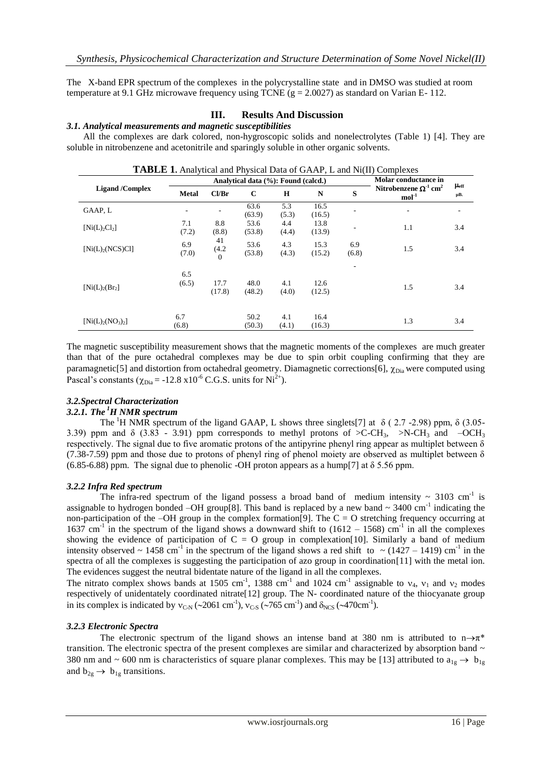The X-band EPR spectrum of the complexes in the polycrystalline state and in DMSO was studied at room temperature at 9.1 GHz microwave frequency using TCNE (g = 2.0027) as standard on Varian E- 112.

## **III. Results And Discussion**

### *3.1. Analytical measurements and magnetic susceptibilities*

All the complexes are dark colored, non-hygroscopic solids and nonelectrolytes (Table 1) [4]. They are soluble in nitrobenzene and acetonitrile and sparingly soluble in other organic solvents.

| <b>TABLE 1.</b> Analytical and Physical Data of GAAP, L and Ni(II) Complexes |              |                                     |                      |              |                |                          |                                                    |                        |  |
|------------------------------------------------------------------------------|--------------|-------------------------------------|----------------------|--------------|----------------|--------------------------|----------------------------------------------------|------------------------|--|
| <b>Ligand</b> /Complex                                                       |              | Analytical data (%): Found (calcd.) | Molar conductance in |              |                |                          |                                                    |                        |  |
|                                                                              | <b>Metal</b> | Cl/Br                               | $\mathbf C$          | H            | N              | S                        | Nitrobenzene $\Omega^1$ cm <sup>2</sup><br>$mol-1$ | $\mu_{\rm eff}$<br>μВ. |  |
| GAAP, L                                                                      |              |                                     | 63.6<br>(63.9)       | 5.3<br>(5.3) | 16.5<br>(16.5) |                          | $\overline{\phantom{0}}$                           |                        |  |
| [Ni(L),Cl <sub>2</sub> ]                                                     | 7.1<br>(7.2) | 8.8<br>(8.8)                        | 53.6<br>(53.8)       | 4.4<br>(4.4) | 13.8<br>(13.9) | $\overline{\phantom{a}}$ | 1.1                                                | 3.4                    |  |
| $[Ni(L)_{2}(NCS)Cl]$                                                         | 6.9<br>(7.0) | 41<br>(4.2)<br>$\theta$             | 53.6<br>(53.8)       | 4.3<br>(4.3) | 15.3<br>(15.2) | 6.9<br>(6.8)             | 1.5                                                | 3.4                    |  |
| [Ni(L) <sub>2</sub> (Br <sub>2</sub> ]                                       | 6.5<br>(6.5) | 17.7<br>(17.8)                      | 48.0<br>(48.2)       | 4.1<br>(4.0) | 12.6<br>(12.5) | $\overline{\phantom{a}}$ | 1.5                                                | 3.4                    |  |
| $[Ni(L)_{2}(NO_{3})_{2}]$                                                    | 6.7<br>(6.8) |                                     | 50.2<br>(50.3)       | 4.1<br>(4.1) | 16.4<br>(16.3) |                          | 1.3                                                | 3.4                    |  |

The magnetic susceptibility measurement shows that the magnetic moments of the complexes are much greater than that of the pure octahedral complexes may be due to spin orbit coupling confirming that they are paramagnetic[5] and distortion from octahedral geometry. Diamagnetic corrections[6],  $\chi_{\text{Dia}}$  were computed using Pascal's constants ( $\chi_{\text{Dia}}$  = -12.8 x10<sup>-6</sup> C.G.S. units for Ni<sup>2+</sup>).

## *3.2.Spectral Characterization*

#### *3.2.1. The <sup>1</sup>H NMR spectrum*

The <sup>1</sup>H NMR spectrum of the ligand GAAP, L shows three singlets[7] at  $\delta$  (2.7 -2.98) ppm,  $\delta$  (3.05-3.39) ppm and  $\delta$  (3.83 - 3.91) ppm corresponds to methyl protons of  $\epsilon$ C-CH<sub>3</sub>,  $\epsilon$ N-CH<sub>3</sub> and –OCH<sub>3</sub> respectively. The signal due to five aromatic protons of the antipyrine phenyl ring appear as multiplet between  $\delta$ (7.38-7.59) ppm and those due to protons of phenyl ring of phenol moiety are observed as multiplet between  $\delta$ (6.85-6.88) ppm. The signal due to phenolic -OH proton appears as a hump[7] at  $\delta$  5.56 ppm.

#### *3.2.2 Infra Red spectrum*

The infra-red spectrum of the ligand possess a broad band of medium intensity  $\sim 3103$  cm<sup>-1</sup> is assignable to hydrogen bonded  $-OH$  group[8]. This band is replaced by a new band  $\sim 3400 \text{ cm}^{-1}$  indicating the non-participation of the –OH group in the complex formation[9]. The  $C = O$  stretching frequency occurring at 1637 cm<sup>-1</sup> in the spectrum of the ligand shows a downward shift to  $(1612 - 1568)$  cm<sup>-1</sup> in all the complexes showing the evidence of participation of  $C = O$  group in complexation[10]. Similarly a band of medium intensity observed ~ 1458 cm<sup>-1</sup> in the spectrum of the ligand shows a red shift to ~ (1427 – 1419) cm<sup>-1</sup> in the spectra of all the complexes is suggesting the participation of azo group in coordination[11] with the metal ion. The evidences suggest the neutral bidentate nature of the ligand in all the complexes.

The nitrato complex shows bands at 1505 cm<sup>-1</sup>, 1388 cm<sup>-1</sup> and 1024 cm<sup>-1</sup> assignable to  $v_4$ ,  $v_1$  and  $v_2$  modes respectively of unidentately coordinated nitrate[12] group. The N- coordinated nature of the thiocyanate group in its complex is indicated by  $v_{\text{C-N}}$  (~2061 cm<sup>-1</sup>),  $v_{\text{C-S}}$  (~765 cm<sup>-1</sup>) and  $\delta_{\text{NCS}}$  (~470cm<sup>-1</sup>).

#### *3.2.3 Electronic Spectra*

The electronic spectrum of the ligand shows an intense band at 380 nm is attributed to  $n \rightarrow \pi^*$ transition. The electronic spectra of the present complexes are similar and characterized by absorption band  $\sim$ 380 nm and ~ 600 nm is characteristics of square planar complexes. This may be [13] attributed to  $a_{1g} \rightarrow b_{1g}$ and  $b_{2g} \rightarrow b_{1g}$  transitions.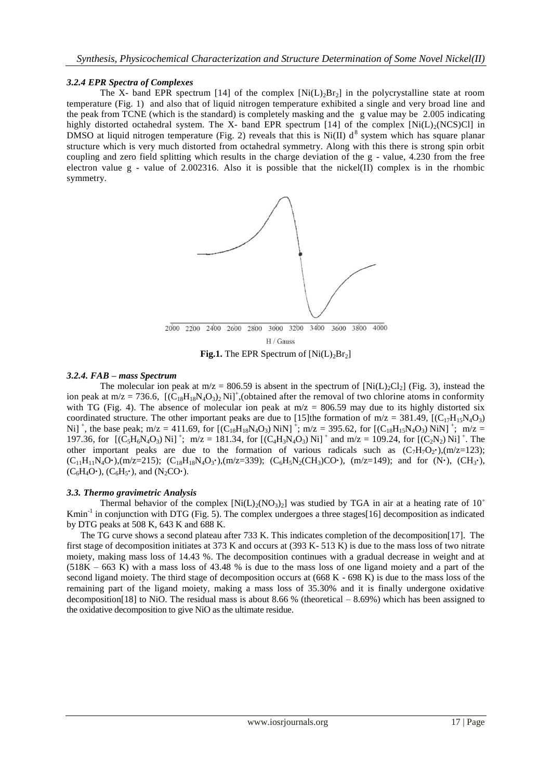#### *3.2.4 EPR Spectra of Complexes*

The X- band EPR spectrum [14] of the complex  $[Ni(L)<sub>2</sub>Br<sub>2</sub>]$  in the polycrystalline state at room temperature (Fig. 1) and also that of liquid nitrogen temperature exhibited a single and very broad line and the peak from TCNE (which is the standard) is completely masking and the g value may be 2.005 indicating highly distorted octahedral system. The X- band EPR spectrum [14] of the complex [Ni(L)<sub>2</sub>(NCS)Cl] in DMSO at liquid nitrogen temperature (Fig. 2) reveals that this is Ni(II)  $d^8$  system which has square planar structure which is very much distorted from octahedral symmetry. Along with this there is strong spin orbit coupling and zero field splitting which results in the charge deviation of the g - value, 4.230 from the free electron value g - value of 2.002316. Also it is possible that the nickel(II) complex is in the rhombic symmetry.



**Fig.1.** The EPR Spectrum of  $[Ni(L)<sub>2</sub>Br<sub>2</sub>]$ 

#### *3.2.4. FAB – mass Spectrum*

The molecular ion peak at m/z = 806.59 is absent in the spectrum of  $[Ni(L)_2Cl_2]$  (Fig. 3), instead the ion peak at m/z = 736.6,  $[(C_{18}H_{18}N_4O_3)_2Ni]^+$ , (obtained after the removal of two chlorine atoms in conformity with TG (Fig. 4). The absence of molecular ion peak at  $m/z = 806.59$  may due to its highly distorted six coordinated structure. The other important peaks are due to [15]the formation of  $m/z = 381.49$ ,  $[(C_{17}H_{15}N_4O_3)$ Ni]<sup>+</sup>, the base peak; m/z = 411.69, for  $[(C_{18}H_{18}N_4O_3)$  NiN]<sup>+</sup>; m/z = 395.62, for  $[(C_{18}H_{15}N_4O_3)$  NiN]<sup>+</sup>; m/z = 197.36, for  $[(C_5H_6N_4O_3)$  Ni]<sup>+</sup>; m/z = 181.34, for  $[(C_4H_3N_4O_3)$  Ni]<sup>+</sup> and m/z = 109.24, for  $[(C_2N_2)$  Ni]<sup>+</sup>. The other important peaks are due to the formation of various radicals such as  $(C_7H_7O_2^{\bullet})$ ,  $(m/z=123)$ ;  $(C_{11}H_{11}N_4O\cdot)$ , (m/z=215);  $(C_{18}H_{18}N_4O_3\cdot)$ , (m/z=339);  $(C_6H_5N_2(CH_3)CO\cdot)$ , (m/z=149); and for (N·), (CH<sub>3</sub>·),  $(C_6H_4O\cdot)$ ,  $(C_6H_5\cdot)$ , and  $(N_2CO\cdot)$ .

#### *3.3. Thermo gravimetric Analysis*

Thermal behavior of the complex  $[Ni(L)_{2}(NO_{3})_{2}]$  was studied by TGA in air at a heating rate of 10° Kmin<sup>-1</sup> in conjunction with DTG (Fig. 5). The complex undergoes a three stages[16] decomposition as indicated by DTG peaks at 508 K, 643 K and 688 K.

 The TG curve shows a second plateau after 733 K. This indicates completion of the decomposition[17]. The first stage of decomposition initiates at 373 K and occurs at (393 K- 513 K) is due to the mass loss of two nitrate moiety, making mass loss of 14.43 %. The decomposition continues with a gradual decrease in weight and at (518K – 663 K) with a mass loss of 43.48 % is due to the mass loss of one ligand moiety and a part of the second ligand moiety. The third stage of decomposition occurs at (668 K - 698 K) is due to the mass loss of the remaining part of the ligand moiety, making a mass loss of 35.30% and it is finally undergone oxidative decomposition[18] to NiO. The residual mass is about 8.66 % (theoretical – 8.69%) which has been assigned to the oxidative decomposition to give NiO as the ultimate residue.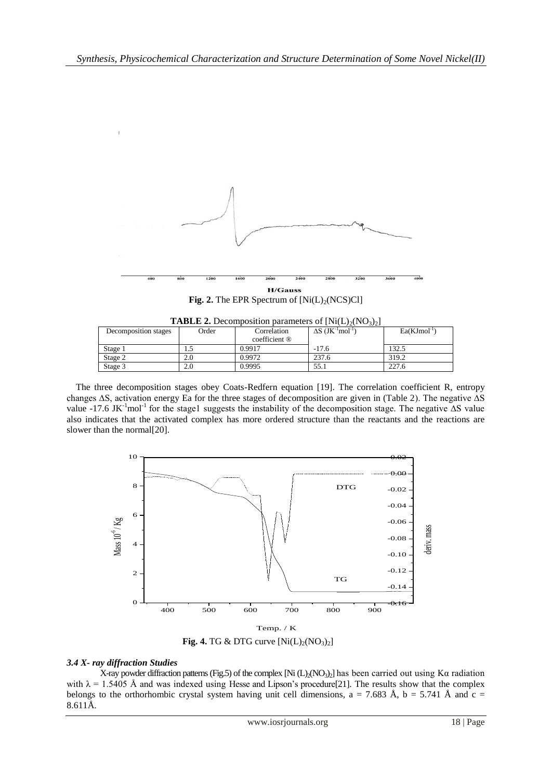

**Fig. 2.** The EPR Spectrum of  $[Ni(L)<sub>2</sub>(NCS)Cl]$ 

| <b>TABLE 2.</b> Decomposition parameters of $[Ni(L)2(NO3)2]$ |       |               |                                                  |                  |  |  |  |  |  |
|--------------------------------------------------------------|-------|---------------|--------------------------------------------------|------------------|--|--|--|--|--|
| Decomposition stages                                         | Order | Correlation   | $\Delta S$ (JK <sup>-1</sup> mol <sup>-1</sup> ) | $Ea(KJmol^{-1})$ |  |  |  |  |  |
|                                                              |       | coefficient ® |                                                  |                  |  |  |  |  |  |
| Stage 1                                                      |       | 0.9917        | $-17.6$                                          | 132.5            |  |  |  |  |  |
| Stage 2                                                      | 2.0   | 0.9972        | 237.6                                            | 319.2            |  |  |  |  |  |
| Stage 3                                                      | 2.0   | 0.9995        | 55.1                                             | 227.6            |  |  |  |  |  |

 The three decomposition stages obey Coats-Redfern equation [19]. The correlation coefficient R, entropy changes ∆S, activation energy Ea for the three stages of decomposition are given in (Table 2). The negative ∆S value -17.6 JK<sup>-1</sup>mol<sup>-1</sup> for the stage1 suggests the instability of the decomposition stage. The negative  $\Delta S$  value also indicates that the activated complex has more ordered structure than the reactants and the reactions are slower than the normal[20].



**Fig. 4.** TG & DTG curve  $[Ni(L)<sub>2</sub>(NO<sub>3</sub>)<sub>2</sub>]$ 

## *3.4 X- ray diffraction Studies*

X-ray powder diffraction patterns (Fig.5) of the complex [Ni (L)<sub>2</sub>(NO<sub>3</sub>)<sub>2</sub>] has been carried out using K $\alpha$  radiation with  $\lambda = 1.5405$  Å and was indexed using Hesse and Lipson's procedure[21]. The results show that the complex belongs to the orthorhombic crystal system having unit cell dimensions, a = 7.683 Å, b = 5.741 Å and c = 8.611Å.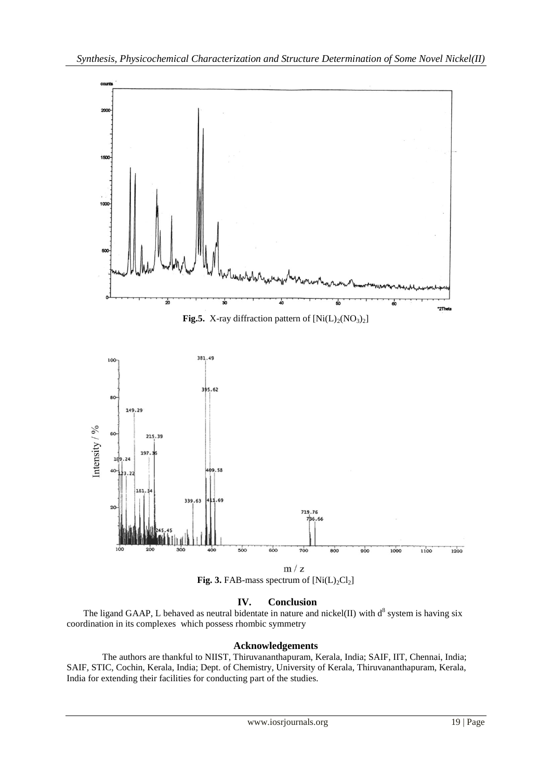

## **IV. Conclusion**

The ligand GAAP, L behaved as neutral bidentate in nature and nickel(II) with  $d^8$  system is having six coordination in its complexes which possess rhombic symmetry

## **Acknowledgements**

The authors are thankful to NIIST, Thiruvananthapuram, Kerala, India; SAIF, IIT, Chennai, India; SAIF, STIC, Cochin, Kerala, India; Dept. of Chemistry, University of Kerala, Thiruvananthapuram, Kerala, India for extending their facilities for conducting part of the studies.